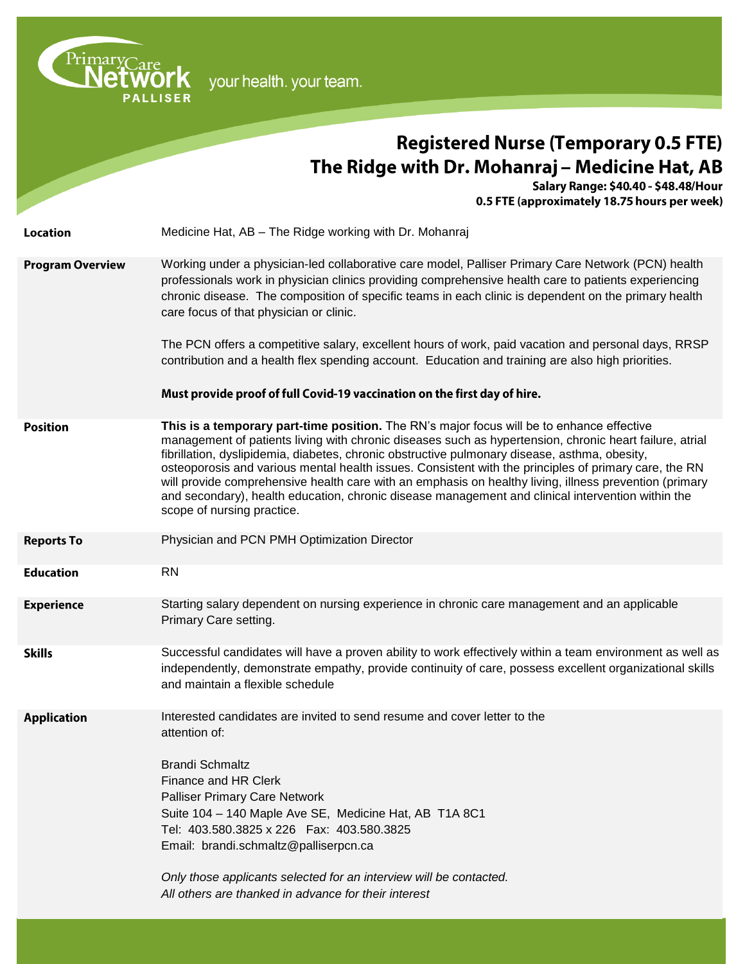| PrimaryCare             | your health. your team.                                                                                                                                                                                                                                                                                                                                                                                                                                                                                                                                                                                                                                     |
|-------------------------|-------------------------------------------------------------------------------------------------------------------------------------------------------------------------------------------------------------------------------------------------------------------------------------------------------------------------------------------------------------------------------------------------------------------------------------------------------------------------------------------------------------------------------------------------------------------------------------------------------------------------------------------------------------|
|                         | <b>Registered Nurse (Temporary 0.5 FTE)</b>                                                                                                                                                                                                                                                                                                                                                                                                                                                                                                                                                                                                                 |
|                         | The Ridge with Dr. Mohanraj – Medicine Hat, AB<br>Salary Range: \$40.40 - \$48.48/Hour<br>0.5 FTE (approximately 18.75 hours per week)                                                                                                                                                                                                                                                                                                                                                                                                                                                                                                                      |
| <b>Location</b>         | Medicine Hat, AB - The Ridge working with Dr. Mohanraj                                                                                                                                                                                                                                                                                                                                                                                                                                                                                                                                                                                                      |
| <b>Program Overview</b> | Working under a physician-led collaborative care model, Palliser Primary Care Network (PCN) health<br>professionals work in physician clinics providing comprehensive health care to patients experiencing<br>chronic disease. The composition of specific teams in each clinic is dependent on the primary health<br>care focus of that physician or clinic.                                                                                                                                                                                                                                                                                               |
|                         | The PCN offers a competitive salary, excellent hours of work, paid vacation and personal days, RRSP<br>contribution and a health flex spending account. Education and training are also high priorities.                                                                                                                                                                                                                                                                                                                                                                                                                                                    |
|                         | Must provide proof of full Covid-19 vaccination on the first day of hire.                                                                                                                                                                                                                                                                                                                                                                                                                                                                                                                                                                                   |
| <b>Position</b>         | This is a temporary part-time position. The RN's major focus will be to enhance effective<br>management of patients living with chronic diseases such as hypertension, chronic heart failure, atrial<br>fibrillation, dyslipidemia, diabetes, chronic obstructive pulmonary disease, asthma, obesity,<br>osteoporosis and various mental health issues. Consistent with the principles of primary care, the RN<br>will provide comprehensive health care with an emphasis on healthy living, illness prevention (primary<br>and secondary), health education, chronic disease management and clinical intervention within the<br>scope of nursing practice. |
| <b>Reports To</b>       | Physician and PCN PMH Optimization Director                                                                                                                                                                                                                                                                                                                                                                                                                                                                                                                                                                                                                 |
| <b>Education</b>        | <b>RN</b>                                                                                                                                                                                                                                                                                                                                                                                                                                                                                                                                                                                                                                                   |
| <b>Experience</b>       | Starting salary dependent on nursing experience in chronic care management and an applicable<br>Primary Care setting.                                                                                                                                                                                                                                                                                                                                                                                                                                                                                                                                       |
| <b>Skills</b>           | Successful candidates will have a proven ability to work effectively within a team environment as well as<br>independently, demonstrate empathy, provide continuity of care, possess excellent organizational skills<br>and maintain a flexible schedule                                                                                                                                                                                                                                                                                                                                                                                                    |
| <b>Application</b>      | Interested candidates are invited to send resume and cover letter to the<br>attention of:<br><b>Brandi Schmaltz</b><br>Finance and HR Clerk<br><b>Palliser Primary Care Network</b><br>Suite 104 - 140 Maple Ave SE, Medicine Hat, AB T1A 8C1<br>Tel: 403.580.3825 x 226  Fax: 403.580.3825<br>Email: brandi.schmaltz@palliserpcn.ca<br>Only those applicants selected for an interview will be contacted.<br>All others are thanked in advance for their interest                                                                                                                                                                                          |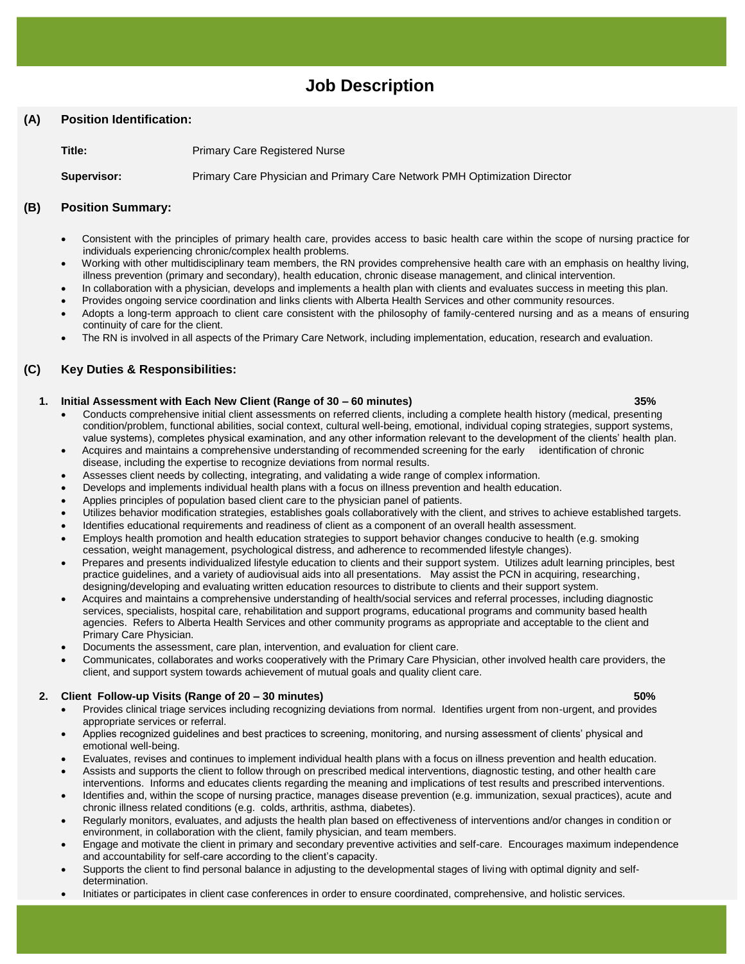# **Job Description**

# **(A) Position Identification:**

**Title:** Primary Care Registered Nurse

**Supervisor:** Primary Care Physician and Primary Care Network PMH Optimization Director

# **(B) Position Summary:**

- Consistent with the principles of primary health care, provides access to basic health care within the scope of nursing practice for individuals experiencing chronic/complex health problems.
- Working with other multidisciplinary team members, the RN provides comprehensive health care with an emphasis on healthy living, illness prevention (primary and secondary), health education, chronic disease management, and clinical intervention.
- In collaboration with a physician, develops and implements a health plan with clients and evaluates success in meeting this plan.
- Provides ongoing service coordination and links clients with Alberta Health Services and other community resources.
- Adopts a long-term approach to client care consistent with the philosophy of family-centered nursing and as a means of ensuring continuity of care for the client.
- The RN is involved in all aspects of the Primary Care Network, including implementation, education, research and evaluation.

# **(C) Key Duties & Responsibilities:**

#### **1. Initial Assessment with Each New Client (Range of 30 – 60 minutes) 35%**

- Conducts comprehensive initial client assessments on referred clients, including a complete health history (medical, presenting condition/problem, functional abilities, social context, cultural well-being, emotional, individual coping strategies, support systems, value systems), completes physical examination, and any other information relevant to the development of the clients' health plan.
- Acquires and maintains a comprehensive understanding of recommended screening for the early identification of chronic disease, including the expertise to recognize deviations from normal results.
- Assesses client needs by collecting, integrating, and validating a wide range of complex information.
- Develops and implements individual health plans with a focus on illness prevention and health education.
- Applies principles of population based client care to the physician panel of patients.
- Utilizes behavior modification strategies, establishes goals collaboratively with the client, and strives to achieve established targets.
- Identifies educational requirements and readiness of client as a component of an overall health assessment.
- Employs health promotion and health education strategies to support behavior changes conducive to health (e.g. smoking cessation, weight management, psychological distress, and adherence to recommended lifestyle changes).
- Prepares and presents individualized lifestyle education to clients and their support system. Utilizes adult learning principles, best practice guidelines, and a variety of audiovisual aids into all presentations. May assist the PCN in acquiring, researching, designing/developing and evaluating written education resources to distribute to clients and their support system.
- Acquires and maintains a comprehensive understanding of health/social services and referral processes, including diagnostic services, specialists, hospital care, rehabilitation and support programs, educational programs and community based health agencies. Refers to Alberta Health Services and other community programs as appropriate and acceptable to the client and Primary Care Physician.
- Documents the assessment, care plan, intervention, and evaluation for client care.
- Communicates, collaborates and works cooperatively with the Primary Care Physician, other involved health care providers, the client, and support system towards achievement of mutual goals and quality client care.

# **2. Client Follow-up Visits (Range of 20 – 30 minutes) 50%**

- Provides clinical triage services including recognizing deviations from normal. Identifies urgent from non-urgent, and provides appropriate services or referral.
- Applies recognized guidelines and best practices to screening, monitoring, and nursing assessment of clients' physical and emotional well-being.
- Evaluates, revises and continues to implement individual health plans with a focus on illness prevention and health education.
- Assists and supports the client to follow through on prescribed medical interventions, diagnostic testing, and other health care interventions. Informs and educates clients regarding the meaning and implications of test results and prescribed interventions.
- Identifies and, within the scope of nursing practice, manages disease prevention (e.g. immunization, sexual practices), acute and chronic illness related conditions (e.g. colds, arthritis, asthma, diabetes).
- Regularly monitors, evaluates, and adjusts the health plan based on effectiveness of interventions and/or changes in condition or environment, in collaboration with the client, family physician, and team members.
- Engage and motivate the client in primary and secondary preventive activities and self-care. Encourages maximum independence and accountability for self-care according to the client's capacity.
- Supports the client to find personal balance in adjusting to the developmental stages of living with optimal dignity and selfdetermination.
- Initiates or participates in client case conferences in order to ensure coordinated, comprehensive, and holistic services.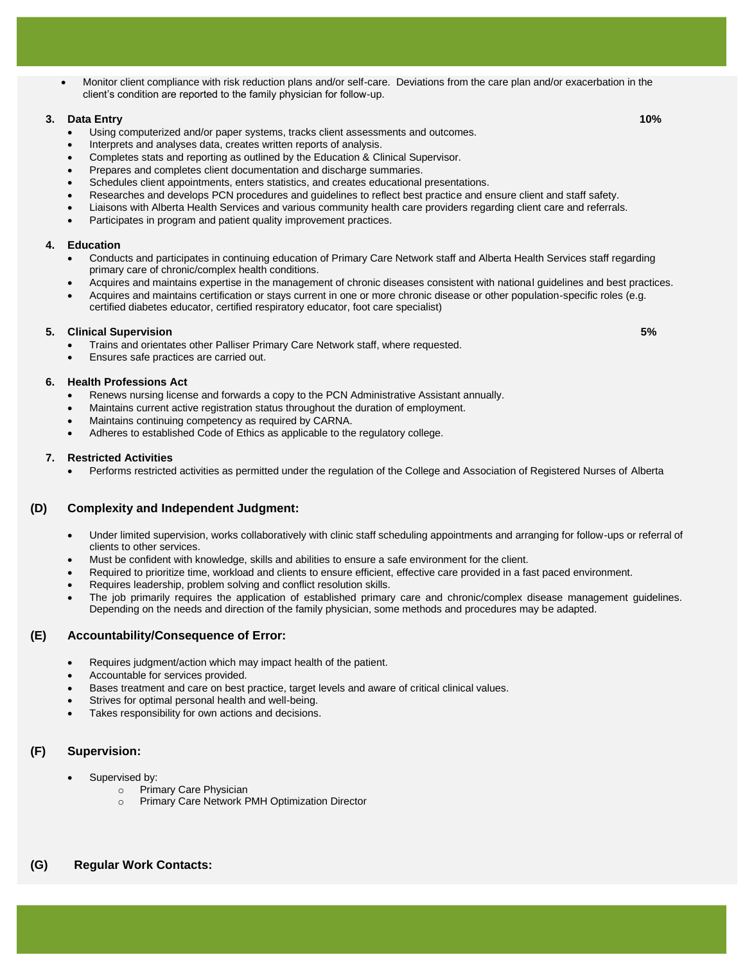Monitor client compliance with risk reduction plans and/or self-care. Deviations from the care plan and/or exacerbation in the client's condition are reported to the family physician for follow-up.

#### **3. Data Entry 10%**

- Using computerized and/or paper systems, tracks client assessments and outcomes.
- Interprets and analyses data, creates written reports of analysis.
- Completes stats and reporting as outlined by the Education & Clinical Supervisor.
- Prepares and completes client documentation and discharge summaries.
- Schedules client appointments, enters statistics, and creates educational presentations.
- Researches and develops PCN procedures and guidelines to reflect best practice and ensure client and staff safety.
- Liaisons with Alberta Health Services and various community health care providers regarding client care and referrals.
- Participates in program and patient quality improvement practices.

#### **4. Education**

- Conducts and participates in continuing education of Primary Care Network staff and Alberta Health Services staff regarding primary care of chronic/complex health conditions.
- Acquires and maintains expertise in the management of chronic diseases consistent with national guidelines and best practices.
- Acquires and maintains certification or stays current in one or more chronic disease or other population-specific roles (e.g. certified diabetes educator, certified respiratory educator, foot care specialist)

#### **5. Clinical Supervision 5%**

- Trains and orientates other Palliser Primary Care Network staff, where requested.
	- Ensures safe practices are carried out.

#### **6. Health Professions Act**

- Renews nursing license and forwards a copy to the PCN Administrative Assistant annually.
- Maintains current active registration status throughout the duration of employment.
- Maintains continuing competency as required by CARNA.
- Adheres to established Code of Ethics as applicable to the regulatory college.

#### **7. Restricted Activities**

Performs restricted activities as permitted under the regulation of the College and Association of Registered Nurses of Alberta

# **(D) Complexity and Independent Judgment:**

- Under limited supervision, works collaboratively with clinic staff scheduling appointments and arranging for follow-ups or referral of clients to other services.
- Must be confident with knowledge, skills and abilities to ensure a safe environment for the client.
- Required to prioritize time, workload and clients to ensure efficient, effective care provided in a fast paced environment.
- Requires leadership, problem solving and conflict resolution skills.
- The job primarily requires the application of established primary care and chronic/complex disease management guidelines. Depending on the needs and direction of the family physician, some methods and procedures may be adapted.

### **(E) Accountability/Consequence of Error:**

- Requires judgment/action which may impact health of the patient.
- Accountable for services provided.
- Bases treatment and care on best practice, target levels and aware of critical clinical values.
- Strives for optimal personal health and well-being.
- Takes responsibility for own actions and decisions.

# **(F) Supervision:**

- Supervised by:
	- o Primary Care Physician
	- o Primary Care Network PMH Optimization Director